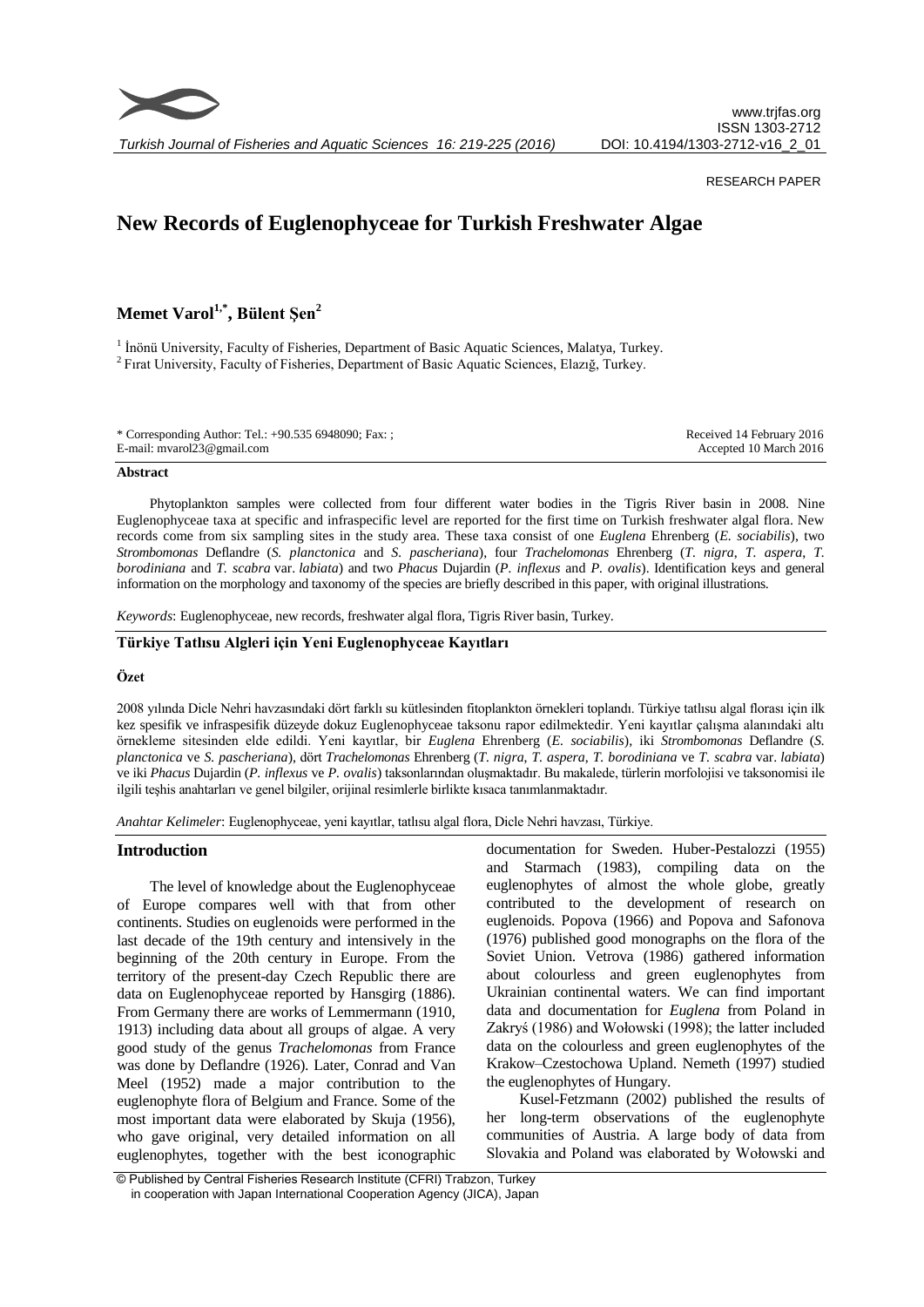

*Turkish Journal of Fisheries and Aquatic Sciences 16: 219-225 (2016)*

### RESEARCH PAPER

# **New Records of Euglenophyceae for Turkish Freshwater Algae**

## **Memet Varol1,\* , Bülent Şen<sup>2</sup>**

<sup>1</sup> İnönü University, Faculty of Fisheries, Department of Basic Aquatic Sciences, Malatya, Turkey. <sup>2</sup> Fırat University, Faculty of Fisheries, Department of Basic Aquatic Sciences, Elazığ, Turkey.

| * Corresponding Author: Tel.: +90.535 6948090; Fax: ; | Received 14 February 2016 |
|-------------------------------------------------------|---------------------------|
| E-mail: mvarol23@gmail.com                            | Accepted 10 March 2016    |
|                                                       |                           |

### **Abstract**

Phytoplankton samples were collected from four different water bodies in the Tigris River basin in 2008. Nine [Euglenophyceae](http://www.algaebase.org/browse/taxonomy/?id=4340) taxa at specific and infraspecific level are reported for the first time on Turkish freshwater algal flora. New records come from six sampling sites in the study area. These taxa consist of one *[Euglena](http://www.algaebase.org/browse/taxonomy/?id=77535)* Ehrenberg (*E. sociabilis*), two *Strombomonas* Deflandre (*S. planctonica* and *S. pascheriana*), four *Trachelomonas* Ehrenberg (*T. nigra*, *T. aspera*, *T. borodiniana* and *T. scabra* var. *labiata*) and two *Phacus* Dujardin (*P. inflexus* and *P. ovalis*). Identification keys and general information on the morphology and taxonomy of the species are briefly described in this paper, with original illustrations.

*Keywords*: Euglenophyceae, new records, freshwater algal flora, Tigris River basin, Turkey.

### **Türkiye Tatlısu Algleri için Yeni Euglenophyceae Kayıtları**

### **Özet**

2008 yılında Dicle Nehri havzasındaki dört farklı su kütlesinden fitoplankton örnekleri toplandı. Türkiye tatlısu algal florası için ilk kez spesifik ve infraspesifik düzeyde dokuz [Euglenophyceae](http://www.algaebase.org/browse/taxonomy/?id=4340) taksonu rapor edilmektedir. Yeni kayıtlar çalışma alanındaki altı örnekleme sitesinden elde edildi. Yeni kayıtlar, bir *[Euglena](http://www.algaebase.org/browse/taxonomy/?id=77535)* Ehrenberg (*E. sociabilis*), iki *Strombomonas* Deflandre (*S. planctonica* ve *S. pascheriana*), dört *Trachelomonas* Ehrenberg (*T. nigra*, *T. aspera*, *T. borodiniana* ve *T. scabra* var. *labiata*) ve iki *Phacus* Dujardin (*P. inflexus* ve *P. ovalis*) taksonlarından oluşmaktadır. Bu makalede, türlerin morfolojisi ve taksonomisi ile ilgili teşhis anahtarları ve genel bilgiler, orijinal resimlerle birlikte kısaca tanımlanmaktadır.

*Anahtar Kelimeler*: Euglenophyceae, yeni kayıtlar, tatlısu algal flora, Dicle Nehri havzası, Türkiye.

### **Introduction**

The level of knowledge about the Euglenophyceae of Europe compares well with that from other continents. Studies on euglenoids were performed in the last decade of the 19th century and intensively in the beginning of the 20th century in Europe. From the territory of the present-day Czech Republic there are data on Euglenophyceae reported by Hansgirg (1886). From Germany there are works of Lemmermann (1910, 1913) including data about all groups of algae. A very good study of the genus *Trachelomonas* from France was done by Deflandre (1926). Later, Conrad and Van Meel (1952) made a major contribution to the euglenophyte flora of Belgium and France. Some of the most important data were elaborated by Skuja (1956), who gave original, very detailed information on all euglenophytes, together with the best iconographic

documentation for Sweden. Huber-Pestalozzi (1955) and Starmach (1983), compiling data on the euglenophytes of almost the whole globe, greatly contributed to the development of research on euglenoids. Popova (1966) and Popova and Safonova (1976) published good monographs on the flora of the Soviet Union. Vetrova (1986) gathered information about colourless and green euglenophytes from Ukrainian continental waters. We can find important data and documentation for *Euglena* from Poland in Zakryś (1986) and Wołowski (1998); the latter included data on the colourless and green euglenophytes of the Krakow–Czestochowa Upland. Nemeth (1997) studied the euglenophytes of Hungary.

Kusel-Fetzmann (2002) published the results of her long-term observations of the euglenophyte communities of Austria. A large body of data from Slovakia and Poland was elaborated by Wołowski and

<sup>©</sup> Published by Central Fisheries Research Institute (CFRI) Trabzon, Turkey in cooperation with Japan International Cooperation Agency (JICA), Japan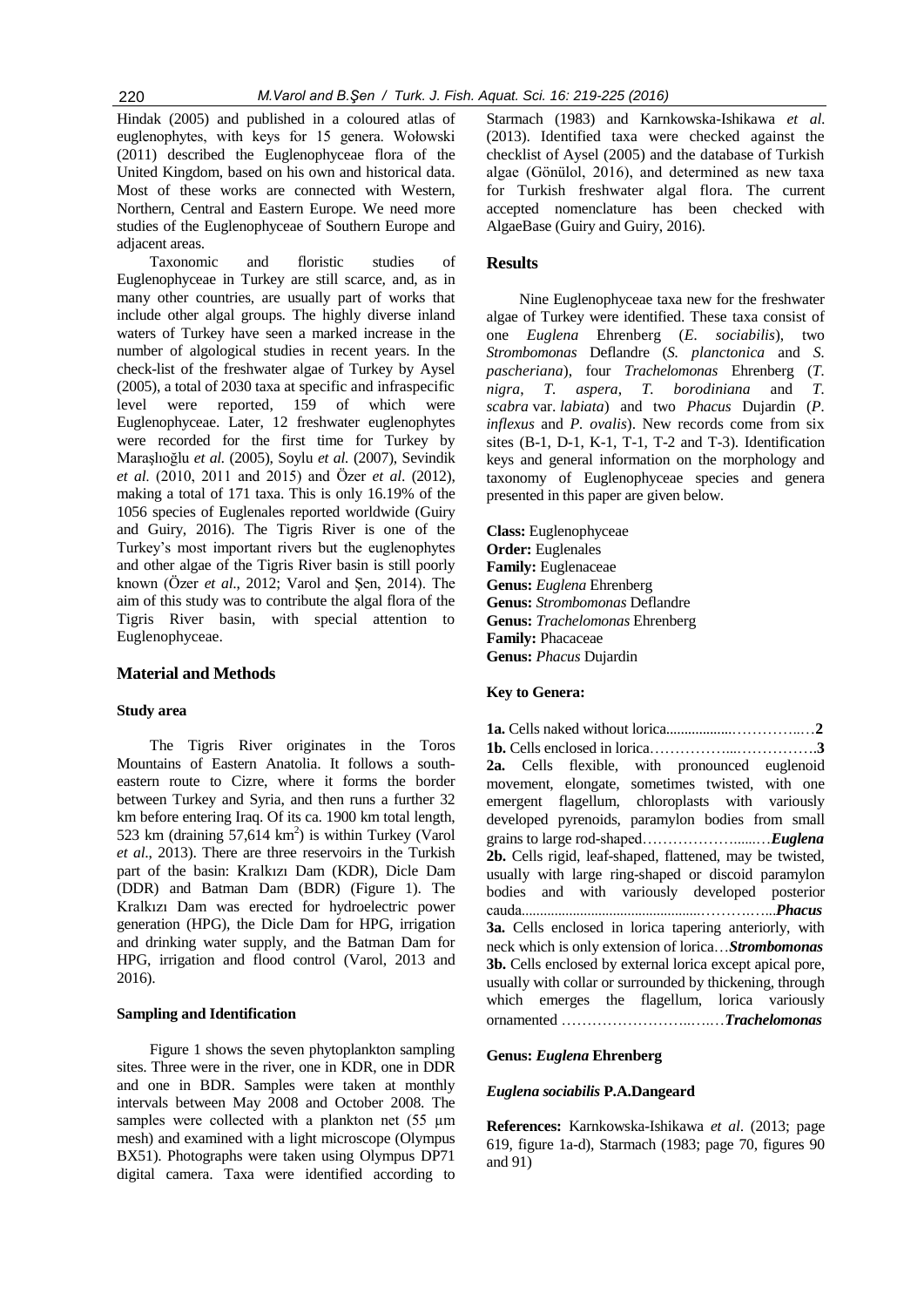Hindak (2005) and published in a coloured atlas of euglenophytes, with keys for 15 genera. Wołowski (2011) described the Euglenophyceae flora of the United Kingdom, based on his own and historical data. Most of these works are connected with Western, Northern, Central and Eastern Europe. We need more studies of the Euglenophyceae of Southern Europe and adjacent areas.

Taxonomic and floristic studies of Euglenophyceae in Turkey are still scarce, and, as in many other countries, are usually part of works that include other algal groups. The highly diverse inland waters of Turkey have seen a marked increase in the number of algological studies in recent years. In the check-list of the freshwater algae of Turkey by Aysel (2005), a total of 2030 taxa at specific and infraspecific level were reported, 159 of which were Euglenophyceae. Later, 12 freshwater euglenophytes were recorded for the first time for Turkey by Maraşlıoğlu *et al.* (2005), Soylu *et al.* (2007), Sevindik *et al*. (2010, 2011 and 2015) and Özer *et al*. (2012), making a total of 171 taxa. This is only 16.19% of the 1056 species of Euglenales reported worldwide (Guiry and Guiry, 2016). The Tigris River is one of the Turkey's most important rivers but the euglenophytes and other algae of the Tigris River basin is still poorly known (Özer *et al*., 2012; Varol and Şen, 2014). The aim of this study was to contribute the algal flora of the Tigris River basin, with special attention to Euglenophyceae.

### **Material and Methods**

### **Study area**

The Tigris River originates in the Toros Mountains of Eastern Anatolia. It follows a southeastern route to Cizre, where it forms the border between Turkey and Syria, and then runs a further 32 km before entering Iraq. Of its ca. 1900 km total length, 523 km (draining  $57,614 \text{ km}^2$ ) is within Turkey (Varol *et al*., 2013). There are three reservoirs in the Turkish part of the basin: Kralkızı Dam (KDR), Dicle Dam (DDR) and Batman Dam (BDR) (Figure 1). The Kralkızı Dam was erected for hydroelectric power generation (HPG), the Dicle Dam for HPG, irrigation and drinking water supply, and the Batman Dam for HPG, irrigation and flood control (Varol, 2013 and 2016).

### **Sampling and Identification**

Figure 1 shows the seven phytoplankton sampling sites. Three were in the river, one in KDR, one in DDR and one in BDR. Samples were taken at monthly intervals between May 2008 and October 2008. The samples were collected with a plankton net (55 µm mesh) and examined with a light microscope (Olympus BX51). Photographs were taken using Olympus DP71 digital camera. Taxa were identified according to

Starmach (1983) and Karnkowska-Ishikawa *et al*. (2013). Identified taxa were checked against the checklist of Aysel (2005) and the database of Turkish algae (Gönülol, 2016), and determined as new taxa for Turkish freshwater algal flora. The current accepted nomenclature has been checked with AlgaeBase (Guiry and Guiry, 2016).

### **Results**

Nine Euglenophyceae taxa new for the freshwater algae of Turkey were identified. These taxa consist of one *[Euglena](http://www.algaebase.org/browse/taxonomy/?id=77535)* Ehrenberg (*E. sociabilis*), two *Strombomonas* Deflandre (*S. planctonica* and *S. pascheriana*), four *Trachelomonas* Ehrenberg (*T. nigra*, *T. aspera*, *T. borodiniana* and *T. scabra* var. *labiata*) and two *Phacus* Dujardin (*P. inflexus* and *P. ovalis*). New records come from six sites (B-1, D-1, K-1, T-1, T-2 and T-3). Identification keys and general information on the morphology and taxonomy of Euglenophyceae species and genera presented in this paper are given below.

**Class:** Euglenophyceae **Order:** Euglenales **Family:** Euglenaceae **Genus:** *Euglena* Ehrenberg **Genus:** *Strombomonas* Deflandre **Genus:** *Trachelomonas* Ehrenberg **Family:** Phacaceae **Genus:** *Phacus* Dujardin

### **Key to Genera:**

**1a.** Cells naked without lorica..................…..**2 1b.** Cells enclosed in lorica……....**3 2a.** Cells flexible, with pronounced euglenoid movement, elongate, sometimes twisted, with one emergent flagellum, chloroplasts with variously developed pyrenoids, paramylon bodies from small grains to large rod-shaped………………......*Euglena* **2b.** Cells rigid, leaf-shaped, flattened, may be twisted, usually with large ring-shaped or discoid paramylon bodies and with variously developed posterior cauda.................................................……….…...*Phacus* **3a.** Cells enclosed in lorica tapering anteriorly, with neck which is only extension of lorica...Strombomonas **3b.** Cells enclosed by external lorica except apical pore, usually with collar or surrounded by thickening, through which emerges the flagellum, lorica variously ornamented …………………..….*Trachelomonas*

### **Genus:** *Euglena* **Ehrenberg**

#### *Euglena sociabilis* **P.A.Dangeard**

**References:** Karnkowska-Ishikawa *et al*. (2013; page 619, figure 1a-d), Starmach (1983; page 70, figures 90 and 91)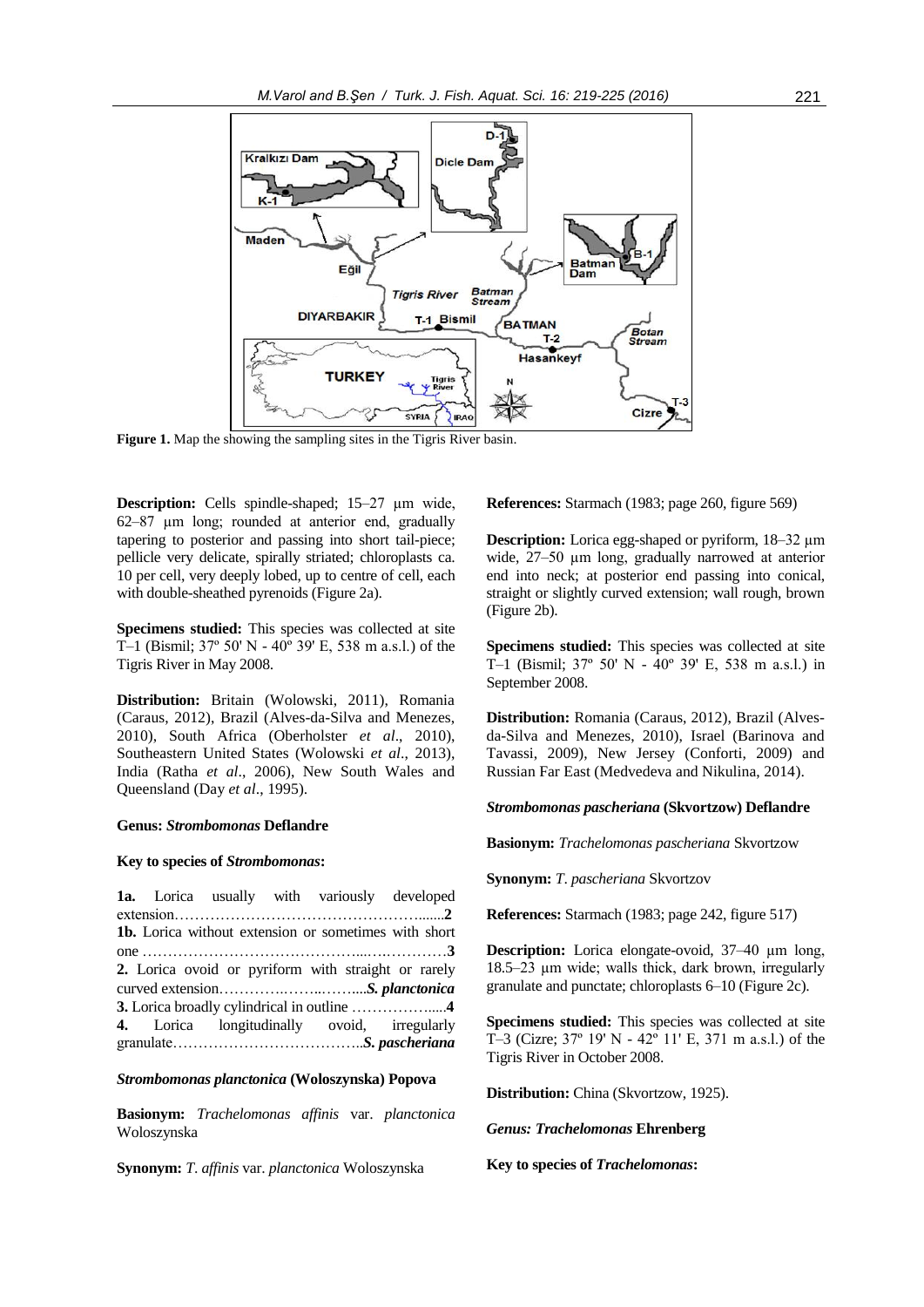

**Figure 1.** Map the showing the sampling sites in the Tigris River basin.

**Description:** Cells spindle-shaped; 15–27 µm wide, 62–87 µm long; rounded at anterior end, gradually tapering to posterior and passing into short tail-piece; pellicle very delicate, spirally striated; chloroplasts ca. 10 per cell, very deeply lobed, up to centre of cell, each with double-sheathed pyrenoids (Figure 2a).

**Specimens studied:** This species was collected at site T–1 (Bismil; 37º 50' N - 40º 39' E, 538 m a.s.l.) of the Tigris River in May 2008.

**Distribution:** Britain (Wolowski, 2011), Romania [\(Caraus, 2](http://www.algaebase.org/search/bibliography/detail/?biblio_id=bd2d307e84ae40c7b)012), Brazil [\(Alves-da-Silva and Menezes,](http://www.algaebase.org/search/bibliography/detail/?biblio_id=t52a49d2ae5b69910)  [2010\)](http://www.algaebase.org/search/bibliography/detail/?biblio_id=t52a49d2ae5b69910), South Africa (Oberholster *et al*., 2010), Southeastern United States (Wolowski *et al*., 2013), India (Ratha *et al*., 2006), New South Wales and Queensland (Day *et al*., [1995\)](http://www.algaebase.org/search/bibliography/detail/?biblio_id=i041af521a0fb8bd7).

### **Genus:** *Strombomonas* **Deflandre**

### **Key to species of** *Strombomonas***:**

**1a.** Lorica usually with variously developed extension………………………………………….......**2 1b.** Lorica without extension or sometimes with short one …………………....**3 2.** Lorica ovoid or pyriform with straight or rarely curved extension….......*S. planctonica* **3.** Lorica broadly cylindrical in outline …….....**4 4.** Lorica longitudinally ovoid, irregularly granulate………………………………..*S. pascheriana*

#### *Strombomonas planctonica* **(Woloszynska) Popova**

**Basionym:** *Trachelomonas affinis* var. *planctonica* Woloszynska

**Synonym:** *T*. *affinis* var. *planctonica* Woloszynska

**References:** Starmach (1983; page 260, figure 569)

**Description:** Lorica egg-shaped or pyriform, 18–32  $\mu$ m wide, 27–50 um long, gradually narrowed at anterior end into neck; at posterior end passing into conical, straight or slightly curved extension; wall rough, brown (Figure 2b).

**Specimens studied:** This species was collected at site T–1 (Bismil; 37º 50' N - 40º 39' E, 538 m a.s.l.) in September 2008.

**Distribution:** Romania [\(Caraus, 2012\)](http://www.algaebase.org/search/bibliography/detail/?biblio_id=V847080d9a5960dea), Brazil [\(Alves](http://www.algaebase.org/search/bibliography/detail/?biblio_id=P52a49d2ae5b69910)[da-Silva and Menezes, 2010\)](http://www.algaebase.org/search/bibliography/detail/?biblio_id=P52a49d2ae5b69910), Israel (Barinova and Tavassi, 2009), New Jersey (Conforti, 2009) and Russian Far East [\(Medvedeva and Nikulina, 2014\)](http://www.algaebase.org/search/bibliography/detail/?biblio_id=Fe22b35c7fff0367c).

#### *Strombomonas pascheriana* **(Skvortzow) Deflandre**

**Basionym:** *Trachelomonas pascheriana* Skvortzow

**Synonym:** *T*. *pascheriana* Skvortzov

**References:** Starmach (1983; page 242, figure 517)

**Description:** Lorica elongate-ovoid, 37–40 µm long, 18.5–23 µm wide; walls thick, dark brown, irregularly granulate and punctate; chloroplasts 6–10 (Figure 2c).

**Specimens studied:** This species was collected at site T–3 (Cizre; 37º 19' N - 42º 11' E, 371 m a.s.l.) of the Tigris River in October 2008.

**Distribution:** China (Skvortzow, 1925).

*Genus: Trachelomonas* **Ehrenberg**

**Key to species of** *Trachelomonas***:**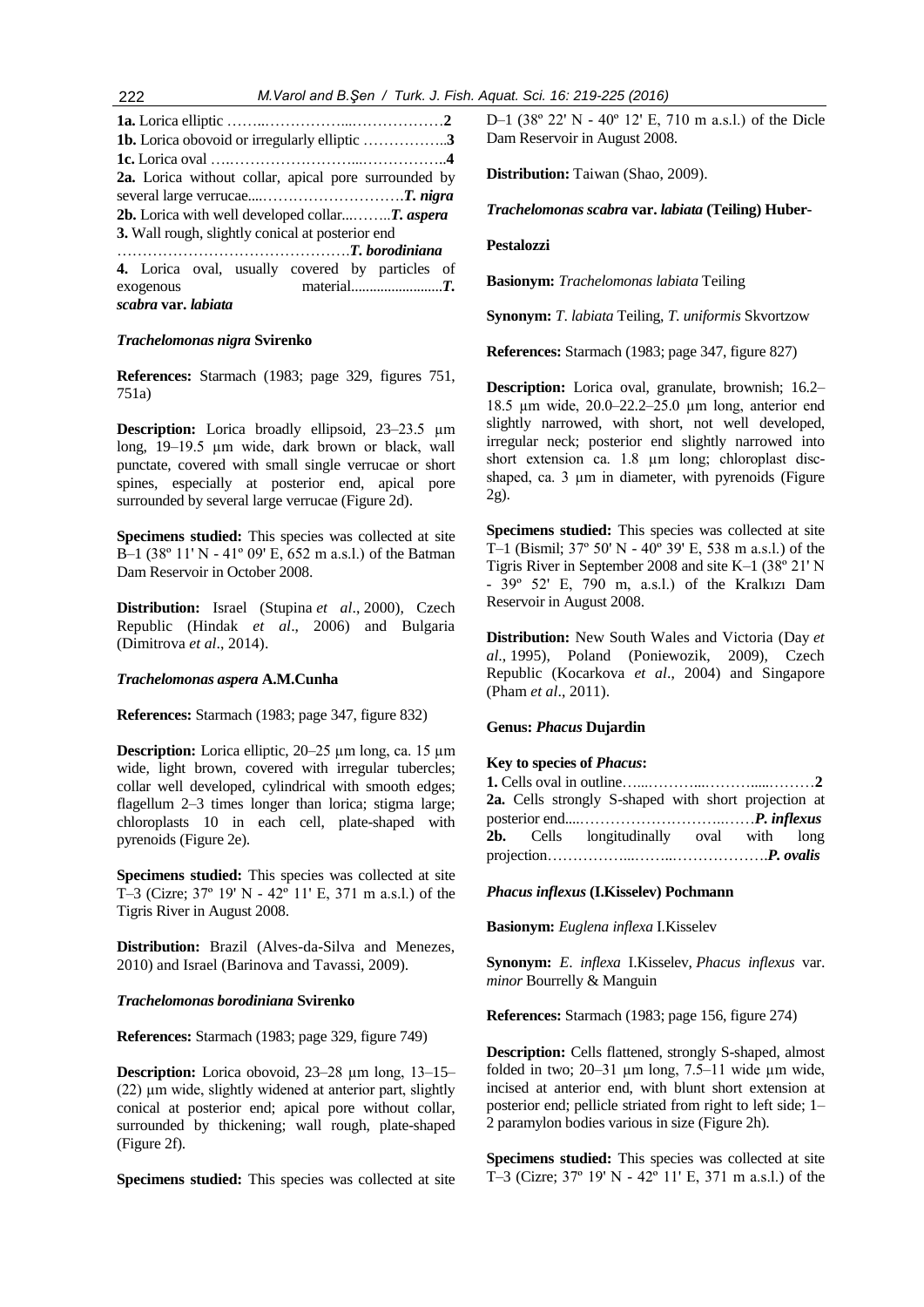| 2a. Lorica without collar, apical pore surrounded by |
|------------------------------------------------------|
|                                                      |
| 2b. Lorica with well developed collarT. aspera       |
| 3. Wall rough, slightly conical at posterior end     |
|                                                      |
| 4. Lorica oval, usually covered by particles of      |
| exogenous                                            |
| scabra var. labiata                                  |

### *Trachelomonas nigra* **Svirenko**

**References:** Starmach (1983; page 329, figures 751, 751a)

**Description:** Lorica broadly ellipsoid, 23–23.5 µm long, 19–19.5 µm wide, dark brown or black, wall punctate, covered with small single verrucae or short spines, especially at posterior end, apical pore surrounded by several large verrucae (Figure 2d).

**Specimens studied:** This species was collected at site  $B-1$  (38° 11′ N - 41° 09′ E, 652 m a.s.l.) of the Batman Dam Reservoir in October 2008.

**Distribution:** Israel [\(Stupina](http://www.algaebase.org/search/bibliography/detail/?biblio_id=d27e268d7a5ba1401) *et al*., 2000), Czech Republic (Hindak *et al*., 2006) and Bulgaria (Dimitrova *et al*., 2014).

### *Trachelomonas aspera* **A.M.Cunha**

**References:** Starmach (1983; page 347, figure 832)

**Description:** Lorica elliptic, 20–25 µm long, ca. 15 µm wide, light brown, covered with irregular tubercles; collar well developed, cylindrical with smooth edges; flagellum 2–3 times longer than lorica; stigma large; chloroplasts 10 in each cell, plate-shaped with pyrenoids (Figure 2e).

**Specimens studied:** This species was collected at site T–3 (Cizre; 37º 19' N - 42º 11' E, 371 m a.s.l.) of the Tigris River in August 2008.

**Distribution:** Brazil [\(Alves-da-Silva and Menezes,](http://www.algaebase.org/search/bibliography/detail/?biblio_id=P52a49d2ae5b69910)  [2010\)](http://www.algaebase.org/search/bibliography/detail/?biblio_id=P52a49d2ae5b69910) and Israel (Barinova and Tavassi, 2009).

#### *Trachelomonas borodiniana* **Svirenko**

**References:** Starmach (1983; page 329, figure 749)

**Description:** Lorica obovoid, 23–28 µm long, 13–15– (22) µm wide, slightly widened at anterior part, slightly conical at posterior end; apical pore without collar, surrounded by thickening; wall rough, plate-shaped (Figure 2f).

**Specimens studied:** This species was collected at site

D–1 (38º 22' N - 40º 12' E, 710 m a.s.l.) of the Dicle Dam Reservoir in August 2008.

**Distribution:** Taiwan (Shao, 2009).

*Trachelomonas scabra* **var.** *labiata* **(Teiling) Huber-**

### **Pestalozzi**

**Basionym:** *Trachelomonas labiata* Teiling

**Synonym:** *T*. *labiata* Teiling, *T*. *uniformis* Skvortzow

**References:** Starmach (1983; page 347, figure 827)

**Description:** Lorica oval, granulate, brownish; 16.2– 18.5 µm wide, 20.0–22.2–25.0 µm long, anterior end slightly narrowed, with short, not well developed, irregular neck; posterior end slightly narrowed into short extension ca. 1.8  $\mu$ m long; chloroplast discshaped, ca. 3 µm in diameter, with pyrenoids (Figure 2g).

**Specimens studied:** This species was collected at site T–1 (Bismil; 37º 50' N - 40º 39' E, 538 m a.s.l.) of the Tigris River in September 2008 and site K–1 (38º 21' N - 39º 52' E, 790 m, a.s.l.) of the Kralkızı Dam Reservoir in August 2008.

**Distribution:** New South Wales and Victoria [\(Day](http://www.algaebase.org/search/bibliography/detail/?biblio_id=S041af521a0fb8bd7) *et al*., [1995\)](http://www.algaebase.org/search/bibliography/detail/?biblio_id=S041af521a0fb8bd7), Poland (Poniewozik, 2009), Czech Republic (Kocarkova *et al*., 2004) and Singapore [\(Pham](http://www.algaebase.org/search/bibliography/detail/?biblio_id=F858777253eba2d5f) *et al*., 2011).

#### **Genus:** *Phacus* **Dujardin**

### **Key to species of** *Phacus***:**

|  | 2a. Cells strongly S-shaped with short projection at |  |  |
|--|------------------------------------------------------|--|--|
|  |                                                      |  |  |
|  | <b>2b.</b> Cells longitudinally oval with long       |  |  |
|  |                                                      |  |  |

#### *Phacus inflexus* **(I.Kisselev) Pochmann**

**Basionym:** *Euglena inflexa* I.Kisselev

**Synonym:** *E*. *inflexa* I.Kisselev, *Phacus inflexus* var. *minor* Bourrelly & Manguin

**References:** Starmach (1983; page 156, figure 274)

**Description:** Cells flattened, strongly S-shaped, almost folded in two;  $20-31 \mu m$  long,  $7.5-11$  wide  $\mu m$  wide, incised at anterior end, with blunt short extension at posterior end; pellicle striated from right to left side; 1– 2 paramylon bodies various in size (Figure 2h).

**Specimens studied:** This species was collected at site T–3 (Cizre; 37º 19' N - 42º 11' E, 371 m a.s.l.) of the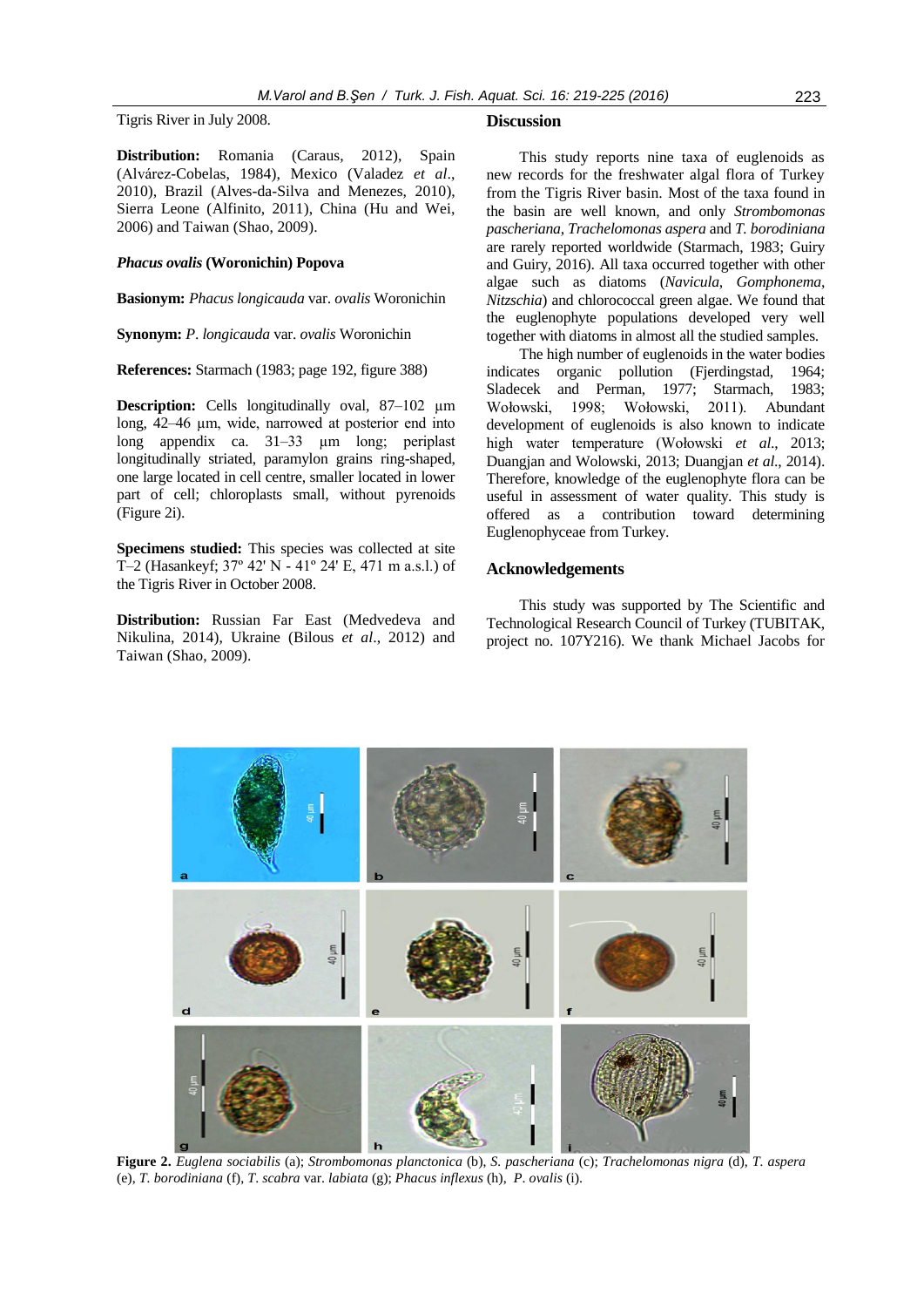Tigris River in July 2008.

**Distribution:** Romania [\(Caraus, 2012\)](http://www.algaebase.org/search/bibliography/detail/?biblio_id=x847080d9a5960dea), Spain [\(Alvárez-Cobelas,](http://www.algaebase.org/search/bibliography/detail/?biblio_id=c9b8d90d97e4164aa) 1984), Mexico [\(Valadez](http://www.algaebase.org/search/bibliography/detail/?biblio_id=bae42e3bf65a28d27) *et al*., [2010\)](http://www.algaebase.org/search/bibliography/detail/?biblio_id=bae42e3bf65a28d27), Brazil [\(Alves-da-Silva and Menezes, 2010\)](http://www.algaebase.org/search/bibliography/detail/?biblio_id=n52a49d2ae5b69910), Sierra Leone [\(Alfinito, 2011\)](http://www.algaebase.org/search/bibliography/detail/?biblio_id=Qb3a5eed0a9a24493), China [\(Hu and Wei,](http://www.algaebase.org/search/bibliography/detail/?biblio_id=H82a9db1c890cc286)  [2006\)](http://www.algaebase.org/search/bibliography/detail/?biblio_id=H82a9db1c890cc286) and Taiwan [\(Shao, 2009\)](http://www.algaebase.org/search/bibliography/detail/?biblio_id=uf38d83fa539ada24).

### *Phacus ovalis* **(Woronichin) Popova**

**Basionym:** *Phacus longicauda* var. *ovalis* Woronichin

**Synonym:** *P*. *longicauda* var. *ovalis* Woronichin

**References:** Starmach (1983; page 192, figure 388)

**Description:** Cells longitudinally oval, 87–102  $\mu$ m long, 42–46 µm, wide, narrowed at posterior end into long appendix ca. 31–33 µm long; periplast longitudinally striated, paramylon grains ring-shaped, one large located in cell centre, smaller located in lower part of cell; chloroplasts small, without pyrenoids (Figure 2i).

**Specimens studied:** This species was collected at site T–2 (Hasankeyf; 37º 42' N - 41º 24' E, 471 m a.s.l.) of the Tigris River in October 2008.

**Distribution:** Russian Far East [\(Medvedeva and](http://www.algaebase.org/search/bibliography/detail/?biblio_id=me22b35c7fff0367c)  [Nikulina, 2014\)](http://www.algaebase.org/search/bibliography/detail/?biblio_id=me22b35c7fff0367c), Ukraine (Bilous *et al*., 2012) and Taiwan [\(Shao, 2009\)](http://www.algaebase.org/search/bibliography/detail/?biblio_id=wf38d83fa539ada24).

#### **Discussion**

This study reports nine taxa of euglenoids as new records for the freshwater algal flora of Turkey from the Tigris River basin. Most of the taxa found in the basin are well known, and only *Strombomonas pascheriana*, *Trachelomonas aspera* and *T. borodiniana* are rarely reported worldwide (Starmach, 1983; Guiry and Guiry, 2016). All taxa occurred together with other algae such as diatoms (*Navicula*, *Gomphonema*, *Nitzschia*) and chlorococcal green algae. We found that the euglenophyte populations developed very well together with diatoms in almost all the studied samples.

The high number of euglenoids in the water bodies indicates organic pollution (Fjerdingstad, 1964; Sladecek and Perman, 1977; Starmach, 1983; Wołowski, 1998; Wołowski, 2011). Abundant development of euglenoids is also known to indicate high water temperature (Wołowski *et al*., 2013; Duangjan and Wolowski, 2013; Duangjan *et al*., 2014). Therefore, knowledge of the euglenophyte flora can be useful in assessment of water quality. This study is offered as a contribution toward determining Euglenophyceae from Turkey.

### **Acknowledgements**

This study was supported by The Scientific and Technological Research Council of Turkey (TUBITAK, project no. 107Y216). We thank Michael Jacobs for



**Figure 2.** *Euglena sociabilis* (a); *Strombomonas planctonica* (b), *S. pascheriana* (c); *Trachelomonas nigra* (d), *T. aspera* (e), *T. borodiniana* (f), *T*. *scabra* var. *labiata* (g); *Phacus inflexus* (h), *P*. *ovalis* (i).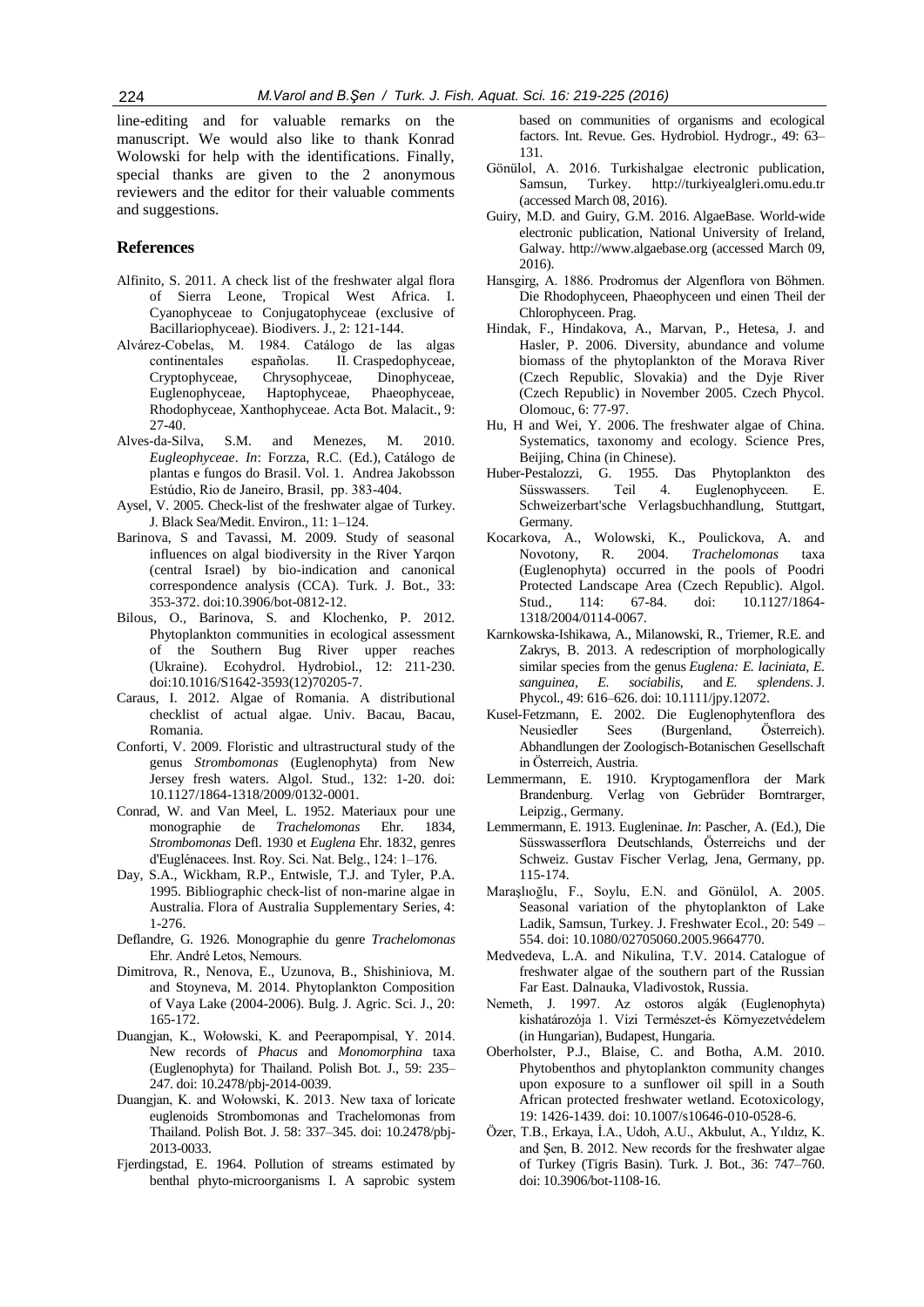line-editing and for valuable remarks on the manuscript. We would also like to thank Konrad Wolowski for help with the identifications. Finally, special thanks are given to the 2 anonymous reviewers and the editor for their valuable comments and suggestions.

### **References**

- Alfinito, S. 2011. A check list of the freshwater algal flora of Sierra Leone, Tropical West Africa. I. Cyanophyceae to Conjugatophyceae (exclusive of Bacillariophyceae). Biodivers. J., 2: 121-144.
- Alvárez-Cobelas, M. 1984. Catálogo de las algas continentales españolas. II. Craspedophyceae, Cryptophyceae, Chrysophyceae, Dinophyceae, Euglenophyceae, Haptophyceae, Phaeophyceae, Rhodophyceae, Xanthophyceae. Acta Bot. Malacit., 9: 27-40.
- Alves-da-Silva, S.M. and Menezes, M. 2010. *Eugleophyceae*. *In*: Forzza, R.C. (Ed.), Catálogo de plantas e fungos do Brasil. Vol. 1. Andrea Jakobsson Estúdio, Rio de Janeiro, Brasil, pp. 383-404.
- Aysel, V. 2005. Check-list of the freshwater algae of Turkey. J. Black Sea/Medit. Environ., 11: 1–124.
- Barinova, S and Tavassi, M. 2009. Study of seasonal influences on algal biodiversity in the River Yarqon (central Israel) by bio-indication and canonical correspondence analysis (CCA). Turk. J. Bot., 33: 353-372. doi:10.3906/bot-0812-12.
- Bilous, O., Barinova, S. and Klochenko, P. 2012. Phytoplankton communities in ecological assessment of the Southern Bug River upper reaches (Ukraine). Ecohydrol. Hydrobiol., 12: 211-230. doi:10.1016/S1642-3593(12)70205-7.
- Caraus, I. 2012. Algae of Romania. A distributional checklist of actual algae. Univ. Bacau, Bacau, Romania.
- Conforti, V. 2009. Floristic and ultrastructural study of the genus *Strombomonas* (Euglenophyta) from New Jersey fresh waters. Algol. Stud., 132: 1-20. doi: 10.1127/1864-1318/2009/0132-0001.
- Conrad, W. and Van Meel, L. 1952. Materiaux pour une monographie de *Trachelomonas* Ehr. 1834, *Strombomonas* Defl. 1930 et *Euglena* Ehr. 1832, genres d'Euglénacees. Inst. Roy. Sci. Nat. Belg., 124: 1–176.
- Day, S.A., Wickham, R.P., Entwisle, T.J. and Tyler, P.A. 1995. Bibliographic check-list of non-marine algae in Australia. Flora of Australia Supplementary Series, 4: 1-276.
- Deflandre, G. 1926. Monographie du genre *Trachelomonas* Ehr. André Letos, Nemours.
- Dimitrova, R., Nenova, E., Uzunova, B., Shishiniova, M. and Stoyneva, M. 2014. Phytoplankton Composition of Vaya Lake (2004-2006). Bulg. J. Agric. Sci. J., 20: 165-172.
- Duangjan, K., Wołowski, K. and Peerapornpisal, Y. 2014. New records of *Phacus* and *Monomorphina* taxa (Euglenophyta) for Thailand. Polish Bot. J., 59: 235– 247. doi: 10.2478/pbj-2014-0039.
- Duangjan, K. and Wołowski, K. 2013. New taxa of loricate euglenoids Strombomonas and Trachelomonas from Thailand. Polish Bot. J. 58: 337–345. doi: 10.2478/pbj-2013-0033.
- Fjerdingstad, E. 1964. Pollution of streams estimated by benthal phyto-microorganisms I. A saprobic system

based on communities of organisms and ecological factors. Int. Revue. Ges. Hydrobiol. Hydrogr., 49: 63– 131.

- Gönülol, A. 2016. Turkishalgae electronic publication, Samsun, Turkey. http://turkiyealgleri.omu.edu.tr (accessed March 08, 2016).
- Guiry, M.D. and Guiry, G.M. 2016. AlgaeBase. World-wide electronic publication, National University of Ireland, Galway. http://www.algaebase.org (accessed March 09, 2016).
- Hansgirg, A. 1886. Prodromus der Algenflora von Böhmen. Die Rhodophyceen, Phaeophyceen und einen Theil der Chlorophyceen. Prag.
- Hindak, F., Hindakova, A., Marvan, P., Hetesa, J. and Hasler, P. 2006. Diversity, abundance and volume biomass of the phytoplankton of the Morava River (Czech Republic, Slovakia) and the Dyje River (Czech Republic) in November 2005. Czech Phycol. Olomouc, 6: 77-97.
- Hu, H and Wei, Y. 2006. The freshwater algae of China. Systematics, taxonomy and ecology. Science Pres, Beijing, China (in Chinese).
- Huber-Pestalozzi, G. 1955. Das Phytoplankton des Süsswassers. Teil 4. Euglenophyceen. E. Schweizerbart'sche Verlagsbuchhandlung, Stuttgart, Germany.
- Kocarkova, A., Wolowski, K., Poulickova, A. and Novotony, R. 2004. *Trachelomonas* taxa (Euglenophyta) occurred in the pools of Poodri Protected Landscape Area (Czech Republic). Algol. Stud., 114: 67-84. doi: 10.1127/1864- 1318/2004/0114-0067.
- Karnkowska-Ishikawa, A., Milanowski, R., Triemer, R.E. and Zakrys, B. 2013. A redescription of morphologically similar species from the genus *Euglena: E. laciniata, E. sanguinea, E. sociabilis*, and *E. splendens*. J. Phycol., 49: 616–626. doi: 10.1111/jpy.12072.
- Kusel-Fetzmann, E. 2002. Die Euglenophytenflora des Neusiedler Sees (Burgenland, Österreich). Abhandlungen der Zoologisch-Botanischen Gesellschaft in Österreich, Austria.
- Lemmermann, E. 1910. Kryptogamenflora der Mark Brandenburg. Verlag von Gebrüder Borntrarger, Leipzig., Germany.
- Lemmermann, E. 1913. Eugleninae. *In*: Pascher, A. (Ed.), Die Süsswasserflora Deutschlands, Österreichs und der Schweiz. Gustav Fischer Verlag, Jena, Germany, pp. 115-174.
- Maraşlıoğlu, F., Soylu, E.N. and Gönülol, A. 2005. Seasonal variation of the phytoplankton of Lake Ladik, Samsun, Turkey. J. Freshwater Ecol., 20: 549 – 554. doi: 10.1080/02705060.2005.9664770.
- Medvedeva, L.A. and Nikulina, T.V. 2014. Catalogue of freshwater algae of the southern part of the Russian Far East. Dalnauka, Vladivostok, Russia.
- Nemeth, J. 1997. Az ostoros algák (Euglenophyta) kishatározója 1. Vízi Természet-és Környezetvédelem (in Hungarian), Budapest, Hungaria.
- Oberholster, P.J., Blaise, C. and Botha, A.M. 2010. Phytobenthos and phytoplankton community changes upon exposure to a sunflower oil spill in a South African protected freshwater wetland. Ecotoxicology, 19: 1426-1439. doi: 10.1007/s10646-010-0528-6.
- Özer, T.B., Erkaya, İ.A., Udoh, A.U., Akbulut, A., Yıldız, K. and Şen, B. 2012. New records for the freshwater algae of Turkey (Tigris Basin). Turk. J. Bot., 36: 747–760. doi: 10.3906/bot-1108-16.